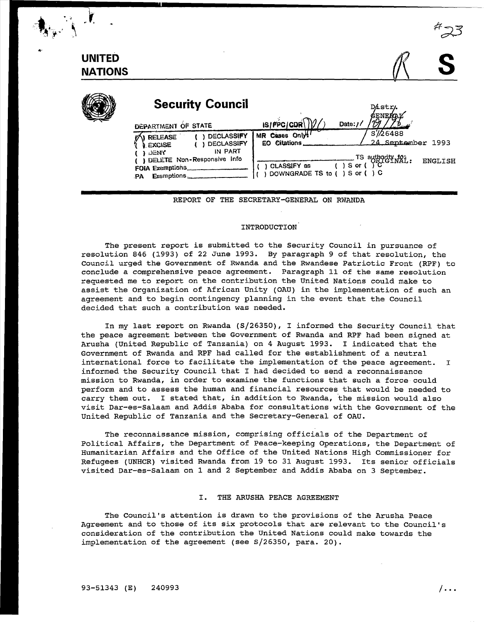| <b>UNITED</b><br><b>NATIONS</b> |                                                                                                                                                                  |                                                                                                                                                                                                        |
|---------------------------------|------------------------------------------------------------------------------------------------------------------------------------------------------------------|--------------------------------------------------------------------------------------------------------------------------------------------------------------------------------------------------------|
|                                 | <b>Security Council</b><br>DEPARTMENT OF STATE                                                                                                                   | Dástr.<br><b>GENEAAV</b><br>$\frac{1}{2}$ is $\frac{1}{2}$ $\frac{1}{2}$ $\frac{1}{2}$ $\frac{1}{2}$ $\frac{1}{2}$ $\frac{1}{2}$ $\frac{1}{2}$ $\frac{1}{2}$ $\frac{1}{2}$ $\frac{1}{2}$<br>Date: $1/$ |
|                                 | <b>DECLASSIFY</b><br><b>RELEASE</b><br><b>DECLASSIFY</b><br>EXCISE<br>IN PART<br><b>ENY</b><br>DELETE Non-Responsive Info<br>FOIA Exemptions<br>Exemptions<br>PA | S'/26488<br>MR Cases Only!<br>24 September 1993<br>EO Citations<br>$\overline{\text{TS}}$ authority that:<br>( ) S or ( ) C<br><b>ENGLISH</b><br>CLASSIFY as<br>DOWNGRADE TS to () S or () C           |

REPORT OF THE SECRETARY-GENERAL ON RWANDA

#### INTRODUCTION

The present report is submitted to the Security Council in pursuance of resolution 846 (1993) of 22 June 1993. By paragraph 9 of that resolution, the Council urged the Government of Rwanda and the Rwandese Patriotic Front (RPF) to conclude a comprehensive peace agreement. Paragraph 11 of the same resolution requested me to report on the contribution the United Nations could make to assist the Organization of African Unity (OAU) in the implementation of such an agreement and to begin contingency planning in the event that the Council decided that such a contribution was needed.

In my last report on Rwanda (S/26350), I informed the Security Council that the peace agreement between the Government of Rwanda and RPF had been signed at Arusha (United Republic of Tanzania) on 4 August 1993. I indicated that the Government of Rwanda and RPF had called for the establishment of a neutral international force to facilitate the implementation of the peace agreement. I informed the Security Council that I had decided to send a reconnaissance mission to Rwanda, in order to examine the functions that such a force could perform and to assess the human and financial resources that would be needed to carry them out. I stated that, in addition to Rwanda, the mission would also visit Dar-es-Salaam and Addis Ababa for consultations with the Government of the United Republic of Tanzania and the Secretary-General of OAU.

The reconnaissance mission, comprising officials of the Department of Political Affairs, the Department of Peace-keeping Operations, the Department of Humanitarian Affairs and the Office of the United Nations High Commissioner for Refugees (UNHCR) visited Rwanda from 19 to 31 August 1993. Its senior officials visited Dar-es-Salaam on 1 and 2 September and Addis Ababa on 3 September.

#### I. THE ARUSHA PEACE AGREEMENT

The council's attention is drawn to the provisions of the Arusha Peace Agreement and to those of its six protocols that are relevant to the Council's consideration of the contribution the United Nations could make towards the implementation of the agreement (see S/26350, para. 20).

...

Ĭ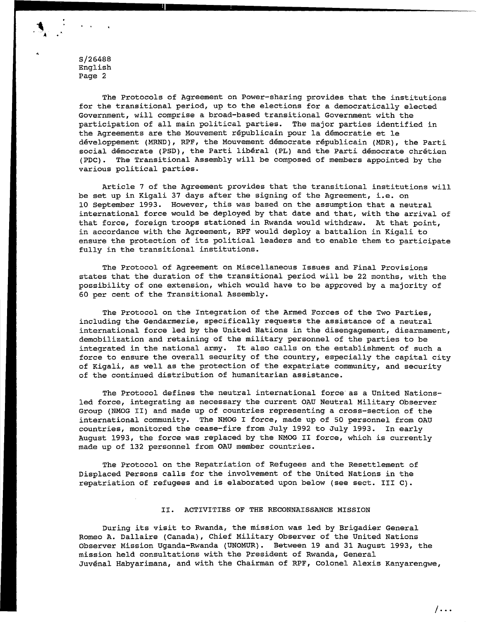The Protocols of Agreement on Power-sharing provides that the institutions for the transitional period, up to the elections for a democratically elected Government, will comprise a broad-based transitional Government with the participation of all main political parties. The major parties identified in the Agreements are the Mouvement republicain pour la democratie et le developpement (MRND), RPF, the Mouvement democrate republicain (MDR), the Parti social démocrate (PSD), the Parti libéral (PL) and the Parti démocrate chrétien (PDC). The Transitional Assembly will be composed of members appointed by the various political parties.

Article 7 of the Agreement provides that the transitional institutions will be set up in Kigali 37 days after the signing of the Agreement, i.e. on 10 September 1993. However, this was based on the assumption that a neutral international force would be deployed by that date and that, with the arrival of that force, foreign troops stationed in Rwanda would withdraw. At that point, in accordance with the Agreement, RPF would deploy a battalion in Kigali to ensure the protection of its political leaders and to enable them to participate fully in the transitional institutions.

The Protocol of Agreement on Miscellaneous Issues and Final Provisions states that the duration of the transitional period will be 22 months, with the possibility of one extension, which would have to be approved by a majority of 60 per cent of the Transitional Assembly.

The Protocol on the Integration of the Armed Forces of the Two Parties, including the Gendarmerie, specifically requests the assistance of a neutral international force led by the United Nations in the disengagement, disarmament, demobilization and retaining of the military personnel of the parties to be integrated in the national army. It also calls on the establishment of such a force to ensure the overall security of the country, especially the capital city of Kigali, as well as the protection of the expatriate community, and security of the continued distribution of humanitarian assistance.

The Protocol defines the neutral international force as a United Nationsled force, integrating as necessary the current OAU Neutral Military Observer Group (NMOG II) and made up of countries representing a cross-section of the international community. The NMOG I force, made up of 50 personnel from OAU countries, monitored the cease-fire from July 1992 to July 1993. In early August 1993, the force was replaced by the NMOG II force, which is currently made up of 132 personnel from OAU member countries.

The Protocol on the Repatriation of Refugees and the Resettlement of Displaced Persons calls for the involvement of the United Nations in the repatriation of refugees and is elaborated upon below (see sect. III C).

#### II. ACTIVITIES OF THE RECONNAISSANCE MISSION

During its visit to Rwanda, the mission was led by Brigadier General Romeo A. Dallaire (Canada), Chief Military Observer of the United Nations Observer Mission Uganda-Rwanda (UNOMUR). Between 19 and 31 August 1993, the mission held consultations with the President of Rwanda, General Juvenal Habyarimana, and with the Chairman of RPF, Colonel Alexis Kanyarengwe,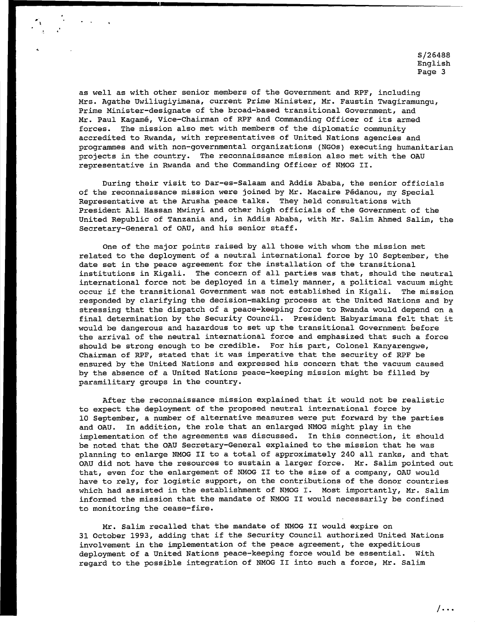as well as with other senior members of the Government and RPF, including Mrs. Agathe Uwiliugiyimana, current Prime Minister, Mr. Faustin Twagiramungu, Prime Minister-designate of the broad-based transitional Government, and Mr. Paul Kagame, Vice-Chairman of RPF and Commanding Officer of its armed forces. The mission also met with members of the diplomatic community accredited to Rwanda, with representatives of United Nations agencies and programmes and with non-governmental organizations (NGOs) executing humanitarian projects in the country. The reconnaissance mission also met with the OAU representative in Rwanda and the Commanding Officer of NMOG II.

;

During their visit to Dar-es-Salaam and Addis Ababa, the senior officials of the reconnaissance mission were joined by Mr. Macaire Pedanou, my Special Representative at the Arusha peace talks. They held consultations with President Ali Hassan Mwinyi and other high officials of the Government of the United Republic of Tanzania and, in Addis Ababa, with Mr. Salim Ahmed Salim, the Secretary-General of OAU, and his senior staff.

One of the major points raised by all those with whom the mission met related to the deployment of a neutral international force by 10 September, the date set in the peace agreement for the installation of the transitional institutions in Kigali. The concern of all parties was that, should the neutral international force not be deployed in a timely manner, a political vacuum might occur if the transitional Government was not established in Kigali. The mission responded by clarifying the decision-making process at the United Nations and by stressing that the dispatch of a peace-keeping force to Rwanda would depend on a final determination by the Security Council. President Habyarimana felt that it would be dangerous and hazardous to set up the transitional Government before the arrival of the neutral international force and emphasized that such a force should be strong enough to be credible. For his part, Colonel Kanyarengwe, Chairman of RPF, stated that it was imperative that the security of RPF be ensured by the United Nations and expressed his concern that the vacuum caused by the absence of a United Nations peace-keeping mission might be filled by paramilitary groups in the country.

After the reconnaissance mission explained that it would not be realistic to expect the deployment of the proposed neutral international force by 10 September, a number of alternative measures were put forward by the parties and OAU. In addition, the role that an enlarged NMOG might play in the implementation of the agreements was discussed. In this connection, it should be noted that the OAU Secretary-General explained to the mission that he was planning to enlarge NMOG II to a total of approximately 240 all ranks, and that OAU did not have the resources to sustain a larger force. Mr. Salim pointed out that, even for the enlargement of NMOG II to the size of a company, OAU would have to rely, for logistic support, on the contributions of the donor countries which had assisted in the establishment of NMOG I. Most importantly, Mr. Salim informed the mission that the mandate of NMOG II would necessarily be confined to monitoring the cease-fire.

Mr. Salim recalled that the mandate of NMOG II would expire on 31 October 1993, adding that if the Security Council authorized United Nations involvement in the implementation of the peace agreement, the expeditious deployment of a United Nations peace-keeping force would be essential. With regard to the possible integration of NMOG II into such a force, Mr. Salim

 $/$ ...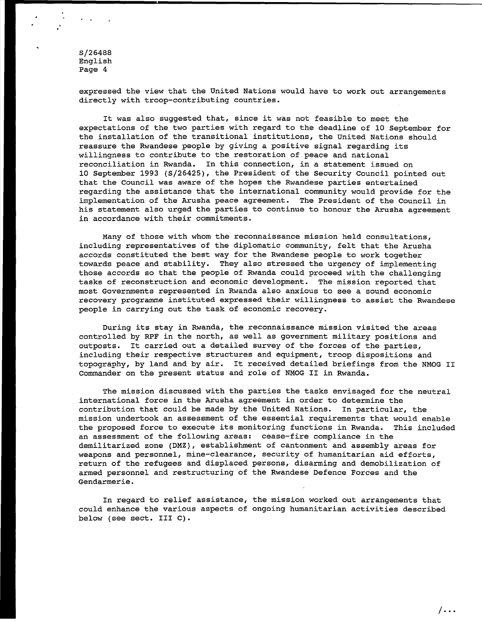. .

> expressed the view that the United Nations would have to work out arrangements directly with troop-contributing countries.

It was also suggested that, since it was not feasible to meet the expectations of the two parties with regard to the deadline of 10 September for the installation of the transitional institutions, the United Nations should reassure the Rwandese people by giving a positive signal regarding its willingness to contribute to the restoration of peace and national reconciliation in Rwanda. In this connection, in a statement issued on 10 September 1993 (S/26425), the President of the Security Council pointed out that the Council was aware of the hopes the Rwandese parties entertained regarding the assistance that the international community would provide for the implementation of the Arusha peace agreement. The President of the Council in his statement also urged the parties to continue to honour the Arusha agreement in accordance with their commitments.

Many of those with whom the reconnaissance mission held consultations, including representatives of the diplomatic community, felt that the Arusha accords constituted the best way for the Rwandese people to work together towards peace and stability. They also stressed the urgency of implementing those accords so that the people of Rwanda could proceed with the challenging tasks of reconstruction and economic development. The mission reported that most Governments represented in Rwanda also anxious to see a sound economic recovery programme instituted expressed their willingness to assist the Rwandese people in carrying out the task of economic recovery.

During its stay in Rwanda, the reconnaissance mission visited the areas controlled by RPF in the north, as well as government military positions and outposts. It carried out a detailed survey of the forces of the parties, including their respective structures and equipment, troop dispositions and topography, by land and by air. It received detailed briefings from the NMOG II Commander on the present status and role of NMOG II in Rwanda.

The mission discussed with the parties the tasks envisaged for the neutral international force in the Arusha agreement in order to determine the contribution that could be made by the United Nations. In particular, the mission undertook an assessment of the essential requirements that would enable the proposed force to execute its monitoring functions in Rwanda. This included an assessment of the following areas: cease-fire compliance in the demilitarized zone (DMZ), establishment of cantonment and assembly areas for weapons and personnel, mine-clearance, security of humanitarian aid efforts, return of the refugees and displaced persons, disarming and demobilization of armed personnel and restructuring of the Rwandese Defence Forces and the Gendarmerie.

In regard to relief assistance, the mission worked out arrangements that could enhance the various aspects of ongoing humanitarian activities described below (see sect. III C).

 $/$ ...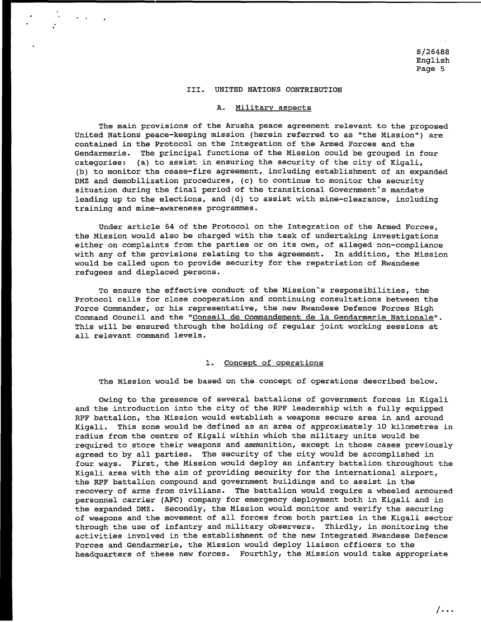#### III. UNITED NATIONS CONTRIBUTION

#### A. Military aspects

The main provisions of the Arusha peace agreement relevant to the proposed United Nations peace-keeping mission (herein referred to as "the Mission") are contained in the Protocol on the Integration of the Armed Forces and the Gendarmerie. The principal functions of the Mission could be grouped in four categories: (a) to assist in ensuring the security of the city of Kigali, (b) to monitor the cease-fire agreement, including establishment of an expanded DMZ and demobilization procedures, (c) to continue to monitor the security situation during the final period of the transitional Government's mandate leading up to the elections, and (d) to assist with mine-clearance, including training and mine-awareness programmes.

Under article 64 of the Protocol on the Integration of the Armed Forces, the Mission would also be charged with the task of undertaking investigations either on complaints from the parties or on its own, of alleged non-compliance with any of the provisions relating to the agreement. In addition, the Mission would be called upon to provide security for the repatriation of Rwandese refugees and displaced persons.

To ensure the effective conduct of the Mission's responsibilities, the Protocol calls for close cooperation and· continuing consultations between the Force Commander, or his representative, the new Rwandese Defence Forces High Command Council and the "Conseil de Commandement de la Gendarmerie Nationale". This will be ensured through the holding of regular joint working sessions at all relevant command levels.

#### 1. Concept of operations

The Mission would be based on the concept of operations described below.

Owing to the presence of several battalions of government forces in Kigali and the introduction into the city of the RPF leadership with a fully equipped RPF battalion, the Mission would establish a weapons secure area in and around Kigali. This zone would be defined as an area of approximately 10 kilometres in radius from the centre of Kigali within which the military units would be required to store their weapons and ammunition, except in those cases previously agreed to by all parties. The security of the city would be accomplished in four ways. First, the Mission would deploy an infantry battalion throughout the Kigali area with the aim of providing security for the international airport, the RPF battalion compound and government buildings and to assist in the recovery of arms from civilians. The battalion would require a wheeled armoured personnel carrier (APC) company for emergency deployment both in Kigali and in the expanded DMZ. Secondly, the Mission would monitor and verify the securing of weapons and the movement of all forces from both parties in the Kigali sector through the use of infantry and military observers. Thirdly, in monitoring the activities involved in the establishment of the new Integrated Rwandese Defence Forces and Gendarmerie, the Mission would deploy liaison officers to the headquarters of these new forces. Fourthly, the Mission would take appropriate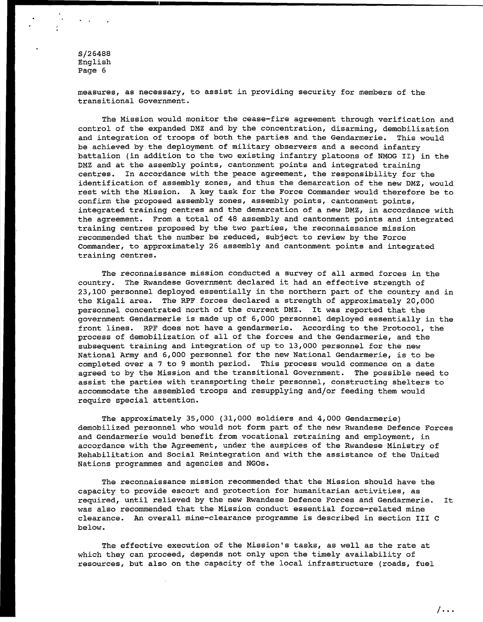measures, as necessary, to assist in providing security for members of the transitional Government.

The Mission would monitor the cease-fire agreement through verification and control of the expanded DMZ and by the concentration, disarming, demobilization and integration of troops of both the parties and the Gendarmerie. This would be achieved by the deployment of military observers and a second infantry battalion (in addition to the two existing infantry platoons of NMOG II) in the DMZ and at the assembly points, cantonment points and integrated training centres. In accordance with the peace agreement, the responsibility for the identification of assembly zones, and thus the demarcation of the new DMZ, would rest with the Mission. A key task for the Force Commander would therefore be to confirm the proposed assembly zones, assembly points, cantonment points, integrated training centres and the demarcation of a new DMZ, in accordance with the agreement. From a total of 48 assembly and cantonment points and integrated training centres proposed by the two parties, the reconnaissance mission recommended that the number be reduced, subject to review by the Force Commander, to approximately 26 assembly and cantonment points and integrated training centres.

The reconnaissance mission conducted a survey of all armed forces in the country. The Rwandese Government declared it had an effective strength of 23,100 personnel deployed essentially in the northern part of the country and in the Kigali area. The RPF forces declared a strength of approximately 20,000 personnel concentrated north of the current DMZ. It was reported that the government Gendarmerie is made up of 6,000 personnel deployed essentially in the front lines. RPF does not have a gendarmerie. According to the Protocol, the process of demobilization of all of the forces and the Gendarmerie, and the subsequent training and integration of up to 13,000 personnel for the new National Army and 6,000 personnel for the new National Gendarmerie, is to be completed over a 7 to 9 month period. This process would commence on a date agreed to by the Mission and the transitional Government. The possible need to assist the parties with transporting their personnel, constructing shelters to accommodate the assembled troops and resupplying and/or feeding them would require special attention.

The approximately 35,000 (31,000 soldiers and 4,000 Gendarmerie) demobilized personnel who would not form part of the new Rwandese Defence Forces and Gendarmerie would benefit from vocational retraining and employment, in accordance with the Agreement, under the auspices of the Rwandese Ministry of Rehabilitation and Social Reintegration and with the assistance of the United Nations programmes and agencies and NGOs.

The reconnaissance mission recommended that the Mission should have the capacity to provide escort and protection for humanitarian activities, as required, until relieved by the new Rwandese Defence Forces and Gendarmerie. It was also recommended that the Mission conduct essential force-related mine clearance. An overall mine-clearance programme is described in section III C below.

The effective execution of the Mission's tasks, as well as the rate at which they can proceed, depends not only upon the timely availability of resources, but also on the capacity of the local infrastructure (roads, fuel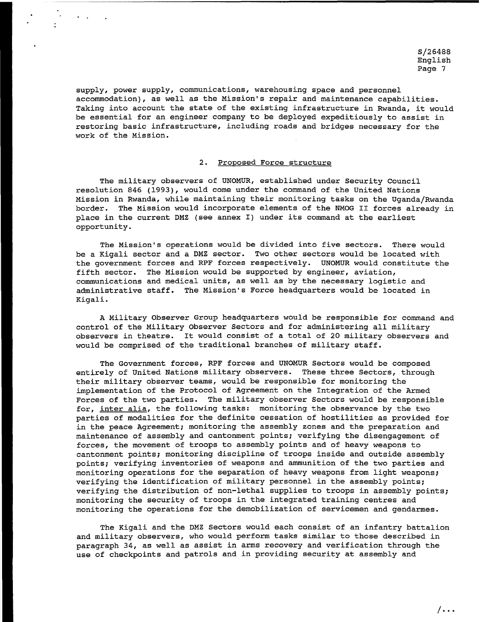supply, power supply, communications, warehousing space and personnel accommodation), as well as the Mission's repair and maintenance capabilities. Taking into account the state of the existing infrastructure in Rwanda, it would be essential for an engineer company to be deployed expeditiously to assist in restoring basic infrastructure, including roads and bridges necessary for the work of the Mission.

### 2. Proposed Force structure

The military observers of UNOMUR, established under Security Council resolution 846 (1993), would come under the command of the United Nations Mission in Rwanda, while maintaining their monitoring tasks on the Uganda/Rwanda border. The Mission would incorporate elements of the NMOG II forces already in place in the current DMZ (see annex I) under its command at the earliest opportunity.

The Mission's operations would be divided into five sectors. There would be a Kigali sector and a DMZ sector. Two other sectors would be located with the government forces and RPF forces respectively. UNOMUR would constitute the fifth sector. The Mission would be supported by engineer, aviation, communications and medical units, as well as by the necessary logistic and administrative staff. The Mission's Force headquarters would be located in Kigali.

A Military Observer Group headquarters would be responsible for command and control of the Military Observer Sectors and for administering all military observers in theatre. It would consist of a total of 20 military observers and would be comprised of the traditional branches of military staff.

The Government forces, RPF forces and UNOMUR Sectors would be composed entirely of United Nations military observers. These three Sectors, through their military observer teams, would be responsible for monitoring the implementation of the Protocol of Agreement on the Integration of the Armed Forces of the two parties. The military observer Sectors would be responsible for, inter alia, the following tasks: monitoring the observance by the two parties of modalities for the definite cessation of hostilities as provided for in the peace Agreement; monitoring the assembly zones and the preparation and maintenance of assembly and cantonment points; verifying the disengagement of forces, the movement of troops to assembly points and of heavy weapons to cantonment points; monitoring discipline of troops inside and outside assembly points; verifying inventories of weapons and ammunition of the two parties and monitoring operations for the separation of heavy weapons from light weapons; verifying the identification of military personnel in the assembly points; verifying the distribution of non-lethal supplies to troops in assembly points; monitoring the security of troops in the integrated training centres and monitoring the operations for the demobilization of servicemen and gendarmes.

The Kigali and the DMZ Sectors would each consist of an infantry battalion and military observers, who would perform tasks similar to those described in paragraph 34, as well as assist in arms recovery and verification through the use of checkpoints and patrols and in providing security at assembly and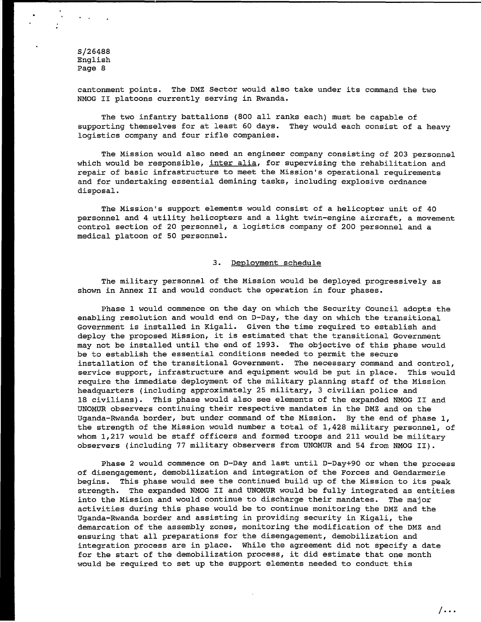cantonment points. The DMZ Sector would also take under its command the two NMOG II platoons currently serving in Rwanda.

The two infantry battalions (800 all ranks each) must be capable of supporting themselves for at least 60 days. They would each consist of a heavy logistics company and four rifle companies.

The Mission would also need an engineer company consisting of 203 personnel which would be responsible, inter alia, for supervising the rehabilitation and repair of basic infrastructure to meet the Mission's operational requirements and for undertaking essential demining tasks, including explosive ordnance disposal.

The Mission's support elements would consist of a helicopter unit of 40 personnel and 4 utility helicopters and a light twin-engine aircraft, a movement control section of 20 personnel, a logistics company of 200 personnel and a medical platoon of 50 personnel.

#### 3. Deployment schedule

The military personnel of the Mission would be deployed progressively as shown in Annex II and would conduct the operation in four phases.

Phase 1 would commence on the day on which the Security Council adopts the enabling resolution and would end on D-Day, the day on which the transitional Government is installed in Kigali. Given the time required to establish and deploy the proposed Mission, it is estimated that the transitional Government may not be installed until the end of 1993. The objective of this phase would be to establish the essential conditions needed to permit the secure installation of the transitional Government. The necessary command and control, service support, infrastructure and equipment would be put in place. This would require the immediate deployment of the military planning staff of the Mission headquarters (including approximately 25 military, 3 civilian police and 18 civilians). This phase would also see elements of the expanded NMOG II and UNOMUR observers continuing their respective mandates in the DMZ and on the Uganda-Rwanda border, but under command of the Mission. By the end of phase 1, the strength of the Mission would number a total of 1,428 military personnel, of whom 1,217 would be staff officers and formed troops and 211 would be military observers (including 77 military observers from UNOMUR and 54 from NMOG II).

Phase 2 would commence on D-Day and last until D-Day+90 or when the process of disengagement, demobilization and integration of the Forces and Gendarmerie begins. This phase would see the continued build up of the Mission to its peak strength. The expanded NMOG II and UNOMUR would be fully integrated as entities into the Mission and would continue to discharge their mandates. The major activities during this phase would be to continue monitoring the DMZ and the Uganda-Rwanda border and assisting in providing security in Kigali, the demarcation of the assembly zones, monitoring the modification of the DMZ and ensuring that all preparations for the disengagement, demobilization and integration process are in place. While the agreement did not specify a date for the start of the demobilization process, it did estimate that one month would be required to set up the support elements needed to conduct this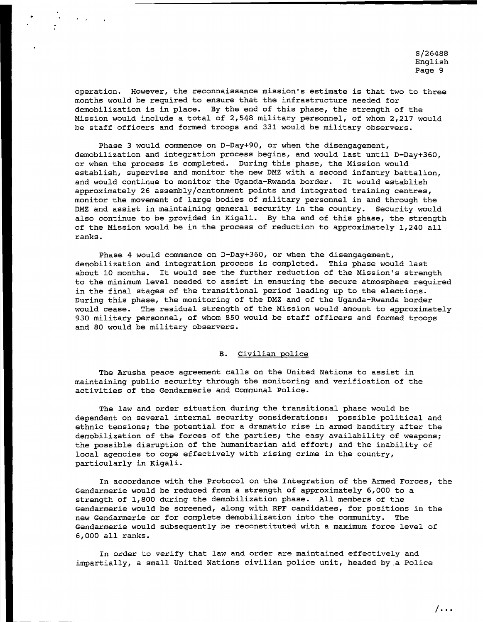operation. However, the reconnaissance mission's estimate is that two to three months would be required to ensure that the infrastructure needed for demobilization is in place. By the end of this phase, the strength of the Mission would include a total of 2,548 military personnel, of whom 2,217 would be staff officers and formed troops and 331 would be military observers.

..

Phase 3 would commence on D-Day+90, or when the disengagement, demobilization and integration process begins, and would last until D-Day+360, or when the process is completed. During this phase, the Mission would establish, supervise and monitor the new DMZ with a second infantry battalion, and would continue to monitor the Uganda-Rwanda border. It would establish approximately 26 assembly/cantonment points and integrated training centres, monitor the movement of large bodies of military personnel in and through the DMZ and assist in maintaining general security in the country. Security would also continue to be provided in Kigali. By the end of this phase, the strength of the Mission would be in the process of reduction to approximately 1,240 all ranks.

Phase 4 would commence on D-Day+360, or when the disengagement, demobilization and integration process is completed. This phase would last about 10 months. It would see the further reduction of the Mission's strength to the minimum level needed to assist in ensuring the secure atmosphere required in the final stages of the transitional period leading up to the elections. During this phase, the monitoring of the DMZ and of the Uganda-Rwanda border would cease. The residual strength of the Mission would amount to approximately 930 military personnel, of whom 850 would be staff officers and formed troops and 80 would be military observers.

## B. Civilian police

The Arusha peace agreement calls on the United Nations to assist in maintaining public security through the monitoring and verification of the activities of the Gendarmerie and Communal Police.

The law and order situation during the transitional phase would be dependent on several internal security considerations: possible political and ethnic tensions; the potential for a dramatic rise in armed banditry after the demobilization of the forces of the parties; the easy availability of weapons; the possible disruption of the humanitarian aid effort; and the inability of local agencies to cope effectively with rising crime in the country, particularly in Kigali.

In accordance with the Protocol on the Integration of the Armed Forces, the Gendarmerie would be reduced from a strength of approximately 6,000 to a strength of 1,800 during the demobilization phase. All members of the Gendarmerie would be screened, along with RPF candidates, for positions in the new Gendarmerie or for complete demobilization into the community. The Gendarmerie would subsequently be reconstituted with a maximum force level of 6,000 all ranks.

In order to verify that law and order are maintained effectively and impartially, a small United Nations civilian police unit, headed by.a Police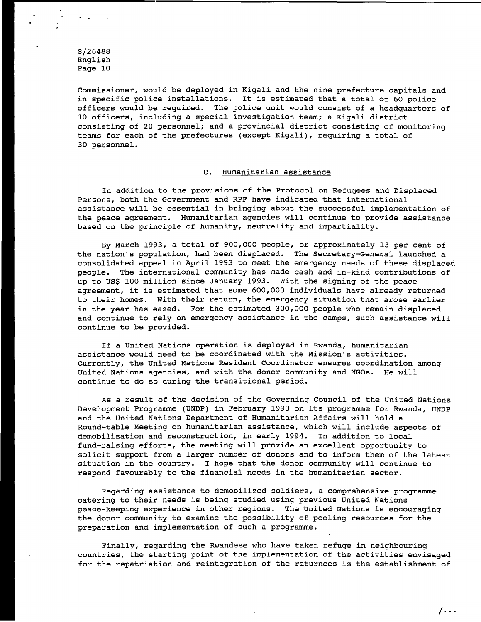Commissioner, would be deployed *in* Kigali and the nine prefecture capitals and *in* specific police installations. It is estimated that a total of 60 police officers would be required. The police unit would consist of a headquarters of 10 officers, including a special investigation team; a Kigali district consisting of 20 personnel; and a provincial district consisting of monitoring teams for each of the prefectures (except Kigali), requiring a total of 30 personnel.

#### c. Humanitarian assistance

In addition to the provisions of the Protocol on Refugees and Displaced Persons, both the Government and RPF have indicated that international assistance will be essential *in* bringing about the successful implementation of the peace agreement. Humanitarian agencies will continue to provide assistance based on the principle of humanity, neutrality and impartiality.

By March 1993, a total of 900,000 people, or approximately 13 per cent of the nation's population, had been displaced. The Secretary-General launched a consolidated appeal *in* April 1993 to meet the emergency needs of these displaced people. The,international community has made cash and in-kind contributions of up to US\$ 100 million since January 1993. With the signing of the peace agreement, it is estimated that some 600,000 individuals have already returned to their homes. With their return, the emergency situation that arose earlier *in* the year has eased. For the estimated 300,000 people who remain displaced and continue to rely on emergency assistance *in* the camps, such assistance will continue to be provided.

If a United Nations operation is deployed *in* Rwanda, humanitarian assistance would need to be coordinated with the Mission's activities. Currently, the United Nations Resident Coordinator ensures coordination among United Nations agencies, and with the donor community and NGOs. He will continue to do so during the transitional period.

As a result of the decision of the Governing Council of the United Nations Development Programme (UNDP) *in* February 1993 on its programme for Rwanda, UNDP and the United Nations Department of Humanitarian Affairs will hold a Round-table Meeting on humanitarian assistance, which will include aspects of demobilization and reconstruction, *in* early 1994. In addition to local fund-raising efforts, the meeting will provide an excellent opportunity to solicit support from a larger number of donors and to inform them of the latest situation *in* the country. I hope that the donor community will continue to respond favourably to the financial needs *in* the humanitarian sector.

Regarding assistance to demobilized soldiers, a comprehensive programme catering to their needs is being studied using previous United Nations peace-keeping experience in other regions. The United Nations is encouraging the donor community to examine the possibility of pooling resources for the preparation and implementation of such a programme.

Finally, regarding the Rwandese who have taken refuge *in* neighbouring countries, the starting point of the implementation of the activities envisaged for the repatriation and reintegration of the returnees is the establishment of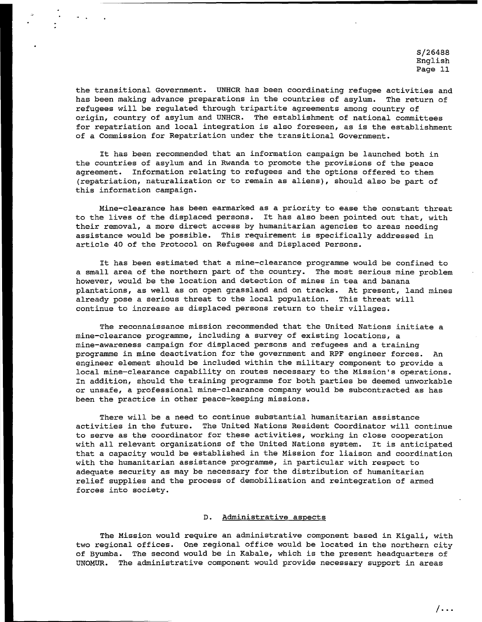the transitional Government. UNHCR has been coordinating refugee activities and<br>has been making advance preparations in the countries of asylum. The return of has been making advance preparations in the countries of asylum. refugees will be regulated through tripartite agreements among country of origin, country of asylum and UNHCR. The establishment of national committees for repatriation and local integration is also foreseen, as is the establishment of a Commission for Repatriation under the transitional Government.

It has been recommended that an information campaign be launched both in the countries of asylum and in Rwanda to promote the provisions of the peace agreement. Information relating to refugees and the options offered to them (repatriation, naturalization or to remain as aliens), should also be part of this information campaign.

Mine-clearance has been earmarked as a priority to ease the constant threat to the lives of the displaced persons. It has also been pointed out that, with their removal, a more direct access by humanitarian agencies to areas needing assistance would be possible. This requirement is specifically addressed in article 40 of the Protocol on Refugees and Displaced Persons.

It has been estimated that a mine-clearance programme would be confined to a small area of the northern part of the country. The most serious mine problem however, would be the location and detection of mines in tea and banana plantations, as well as on open grassland and on tracks. At present, land mines already pose a serious threat to the local population. This threat will continue to increase as displaced persons return to their villages.

The reconnaissance mission recommended that the United Nations initiate a mine-clearance programme, including a survey of existing locations, a mine-awareness campaign for displaced persons and refugees and a training programme in mine deactivation for the government and RPF engineer forces. An engineer element should be included within the military component to provide a local mine-clearance capability on routes necessary to the Mission's operations. In addition, should the training programme for both parties be deemed unworkable or unsafe, a professional mine-clearance company would be subcontracted as has been the practice in other peace-keeping missions.

There will be a need to continue substantial humanitarian assistance activities in the future. The United Nations Resident Coordinator will continue to serve as the coordinator for these activities, working in close cooperation with all relevant organizations of the United Nations system. It is anticipated that a capacity would be established in the Mission for liaison and coordination with the humanitarian assistance programme, in particular with respect to adequate security as may be necessary for the distribution of humanitarian relief supplies and the process of demobilization and reintegration of armed forces into society.

## D. Administrative aspects

The Mission would require an administrative component based in Kigali, with two regional offices. One regional office would be located in the northern city of Byumba. The second would be in Kabale, which is the present headquarters of UNOMUR. The administrative component would provide necessary support in areas

 $/$ ...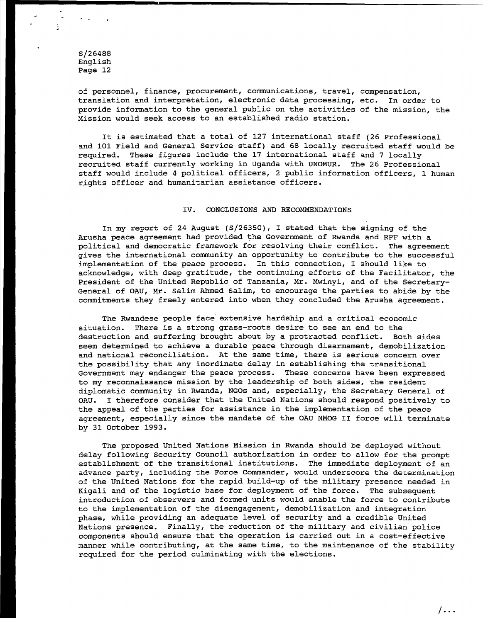of personnel, finance, procurement, communications, travel, compensation, translation and interpretation, electronic data processing, etc. In order to provide information to the general public on the activities of the mission, the Mission would seek access to an established radio station.

It is estimated that a total of 127 international staff (26 Professional and 101 Field and General Service staff) and 68 locally recruited staff would be required. These figures include the 17 international staff and 7 locally recruited staff currently working in Uganda with UNOMUR. The 26 Professional staff would include 4 political officers, 2 public information officers, 1 human rights officer and humanitarian assistance officers.

#### IV. CONCLUSIONS AND RECOMMENDATIONS

In my report of 24 August (S/26350), I stated that the signing of the Arusha peace agreement had provided the Government of Rwanda and RPF with a political and democratic framework for resolving their conflict. The agreement gives the international community an opportunity to contribute to the successful implementation of the peace process. In this connection, I should like to acknowledge, with deep gratitude, the continuing efforts of the Facilitator, the President of the United Republic of Tanzania, Mr. Mwinyi, and of the Secretary-General of OAU, Mr. Salim Ahmed Salim, to encourage the parties to abide by the commitments they freely entered into when they concluded the Arusha agreement.

The Rwandese people face extensive hardship and a critical economic situation. There is a strong grass-roots desire to see an end to the destruction and suffering brought about by a protracted conflict. Both sides seem determined to achieve a durable peace through disarmament, demobilization and national reconciliation. At the same time, there is serious concern over the possibility that any inordinate delay in establishing the transitional Government may endanger the peace process. These concerns have been expressed to my reconnaissance mission by the leadership of both sides, the resident diplomatic community in Rwanda, NGOs and, especially, the Secretary General of OAU. I therefore consider that the United Nations should respond positively to the appeal of the parties for assistance in the implementation of the peace agreement, especially since the mandate of the OAU NMOG II force will terminate by 31 October 1993.

The proposed United Nations Mission in Rwanda should be deployed without delay following Security Council authorization in order to allow for the prompt establishment of the transitional institutions. The immediate deployment of an advance party, including the Force Commander, would underscore the determination of the United Nations for the rapid build-up of the military presence needed in Kigali and of the logistic base for deployment of the force. The subsequent introduction of observers and formed units would enable the force to contribute to the implementation of the disengagement, demobilization and integration phase, while providing an adequate level of security and a credible United Nations presence. Finally, the reduction of the military and civilian police components should ensure that the operation is carried out in a cost-effective manner while contributing, at the same time, to the maintenance of the stability required for the period culminating with the elections.

 $/$ ...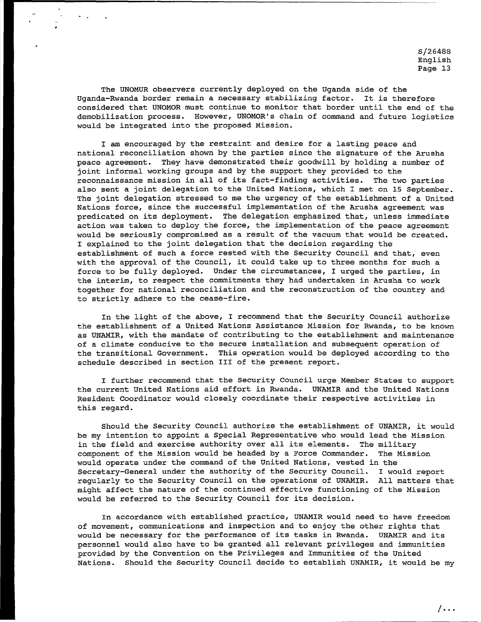The UNOMUR observers currently deployed on the Uganda side of the Uganda-Rwanda border remain a necessary stabilizing factor. It is therefore considered that UNOMOR must continue to monitor that border until the end of the demobilization process. However, UNOMOR's chain of command and future logistics would be integrated into the proposed Mission.

I am encouraged by the restraint and desire for a lasting peace and national reconciliation shown by the parties since the signature of the Arusha peace agreement. They have demonstrated their goodwill by holding a number of joint informal working groups and by the support they provided to the reconnaissance mission in all of its fact-finding activities. The two parties also sent a joint delegation to the United Nations, which I met on 15 September. The joint delegation stressed to me the urgency of the establishment of a United Nations force, since the successful implementation of the Arusha agreement was predicated on its deployment. The delegation emphasized that, unless immediate action was taken to deploy the force, the implementation of the peace agreement would be seriously compromised as a result of the vacuum that would be created. I explained to the joint delegation that the decision regarding the establishment of such a force rested with the Security Council and that, even with the approval of the Council, it could take up to three months for such a force to be fully deployed. Under the circumstances, I urged the parties, in the interim, to respect the commitments they had undertaken in Arusha to work together for national reconciliation and the reconstruction of the country and to strictly adhere to the cease-fire.

In the light of the above, I recommend that the Security Council authorize the establishment of a United Nations Assistance Mission for Rwanda, to be known as UNAMIR, with the mandate of contributing to the establishment and maintenance of a climate conducive to the secure installation and subsequent operation of the transitional Government. This operation would be deployed according to the schedule described in section III of the present report.

I further recommend that the Security Council urge Member States to support the current United Nations aid effort in Rwanda. UNAMIR and the United Nations Resident Coordinator would closely coordinate their respective activities in this regard.

Should the Security Council authorize the establishment of UNAMIR, it would be my intention to appoint a Special Representative who would lead the Mission in the field and exercise authority over all its elements. The military component of the Mission would be headed by a Force Commander. The Mission would operate under the command of the United Nations, vested in the Secretary-General under the authority of the Security Council. I would report regularly to the Security Council on the operations of UNAMIR. All matters that might affect the nature of the continued effective functioning of the Mission would be referred to the Security Council for its decision.

In accordance with established practice, UNAMIR would need to have freedom of movement, communications and inspection and to enjoy the other rights that would be necessary for the performance of its tasks in Rwanda. UNAMIR and its personnel would also have to be granted all relevant privileges and immunities provided by the Convention on the Privileges and Immunities of the United Nations. Should the Security Council decide to establish UNAMIR, it would be my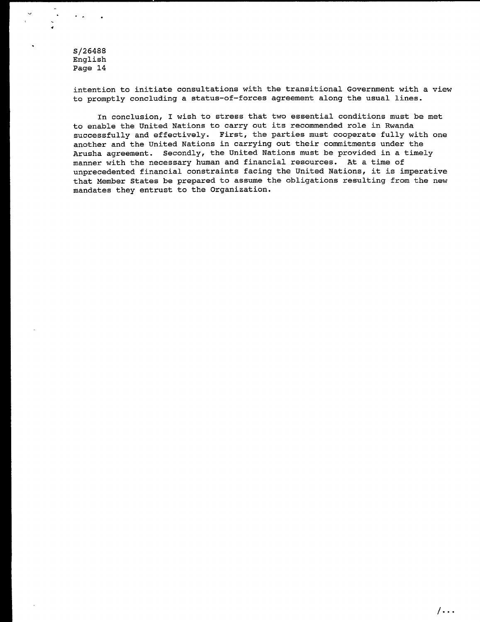. .

intention to initiate consultations with the transitional Government with a view to promptly concluding a status-of-forces agreement along the usual lines.

In conclusion, I wish to stress that two essential conditions must be met to enable the United Nations to carry out its recommended role in Rwanda successfully and effectively. First, the parties must cooperate fully with one another and the United Nations in carrying out their commitments under the Arusha agreement. Secondly, the United Nations must be provided in a timely manner with the necessary human and financial resources. At a time of unprecedented financial constraints facing the United Nations, it is imperative that Member States be prepared to assume the obligations resulting from the new mandates they entrust to the Organization.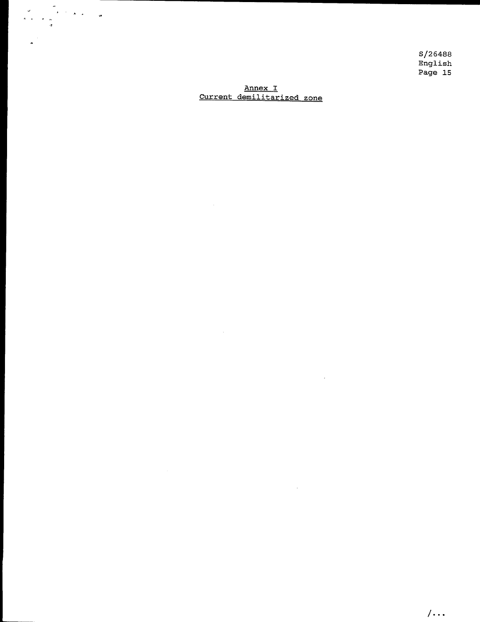Annex I Current demilitarized zone

 $\sim 10^6$ 

 $\sim 10^7$ 

 $\sim 10^{-11}$ 

' .

 $\frac{1}{\sigma}$